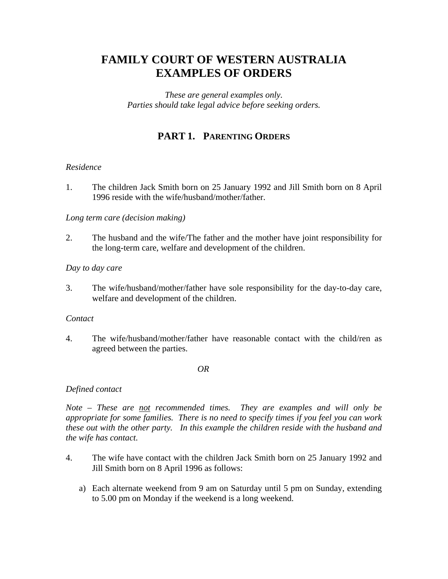# **FAMILY COURT OF WESTERN AUSTRALIA EXAMPLES OF ORDERS**

*These are general examples only. Parties should take legal advice before seeking orders.* 

# **PART 1. PARENTING ORDERS**

## *Residence*

1. The children Jack Smith born on 25 January 1992 and Jill Smith born on 8 April 1996 reside with the wife/husband/mother/father.

#### *Long term care (decision making)*

2. The husband and the wife/The father and the mother have joint responsibility for the long-term care, welfare and development of the children.

#### *Day to day care*

3. The wife/husband/mother/father have sole responsibility for the day-to-day care, welfare and development of the children.

#### *Contact*

4. The wife/husband/mother/father have reasonable contact with the child/ren as agreed between the parties.

#### *OR*

## *Defined contact*

*Note – These are not recommended times. They are examples and will only be appropriate for some families. There is no need to specify times if you feel you can work these out with the other party. In this example the children reside with the husband and the wife has contact.* 

- 4. The wife have contact with the children Jack Smith born on 25 January 1992 and Jill Smith born on 8 April 1996 as follows:
	- a) Each alternate weekend from 9 am on Saturday until 5 pm on Sunday, extending to 5.00 pm on Monday if the weekend is a long weekend.